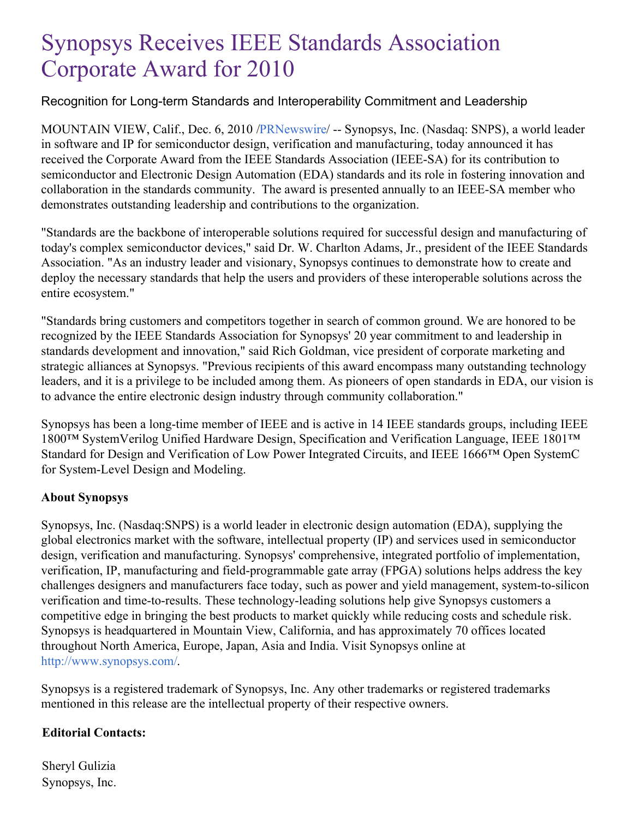## Synopsys Receives IEEE Standards Association Corporate Award for 2010

## Recognition for Long-term Standards and Interoperability Commitment and Leadership

MOUNTAIN VIEW, Calif., Dec. 6, 2010 [/PRNewswire](http://www.prnewswire.com/)/ -- Synopsys, Inc. (Nasdaq: SNPS), a world leader in software and IP for semiconductor design, verification and manufacturing, today announced it has received the Corporate Award from the IEEE Standards Association (IEEE-SA) for its contribution to semiconductor and Electronic Design Automation (EDA) standards and its role in fostering innovation and collaboration in the standards community. The award is presented annually to an IEEE-SA member who demonstrates outstanding leadership and contributions to the organization.

"Standards are the backbone of interoperable solutions required for successful design and manufacturing of today's complex semiconductor devices," said Dr. W. Charlton Adams, Jr., president of the IEEE Standards Association. "As an industry leader and visionary, Synopsys continues to demonstrate how to create and deploy the necessary standards that help the users and providers of these interoperable solutions across the entire ecosystem."

"Standards bring customers and competitors together in search of common ground. We are honored to be recognized by the IEEE Standards Association for Synopsys' 20 year commitment to and leadership in standards development and innovation," said Rich Goldman, vice president of corporate marketing and strategic alliances at Synopsys. "Previous recipients of this award encompass many outstanding technology leaders, and it is a privilege to be included among them. As pioneers of open standards in EDA, our vision is to advance the entire electronic design industry through community collaboration."

Synopsys has been a long-time member of IEEE and is active in 14 IEEE standards groups, including IEEE 1800™ SystemVerilog Unified Hardware Design, Specification and Verification Language, IEEE 1801™ Standard for Design and Verification of Low Power Integrated Circuits, and IEEE 1666™ Open SystemC for System-Level Design and Modeling.

## **About Synopsys**

Synopsys, Inc. (Nasdaq:SNPS) is a world leader in electronic design automation (EDA), supplying the global electronics market with the software, intellectual property (IP) and services used in semiconductor design, verification and manufacturing. Synopsys' comprehensive, integrated portfolio of implementation, verification, IP, manufacturing and field-programmable gate array (FPGA) solutions helps address the key challenges designers and manufacturers face today, such as power and yield management, system-to-silicon verification and time-to-results. These technology-leading solutions help give Synopsys customers a competitive edge in bringing the best products to market quickly while reducing costs and schedule risk. Synopsys is headquartered in Mountain View, California, and has approximately 70 offices located throughout North America, Europe, Japan, Asia and India. Visit Synopsys online at <http://www.synopsys.com/>.

Synopsys is a registered trademark of Synopsys, Inc. Any other trademarks or registered trademarks mentioned in this release are the intellectual property of their respective owners.

## **Editorial Contacts:**

Sheryl Gulizia Synopsys, Inc.